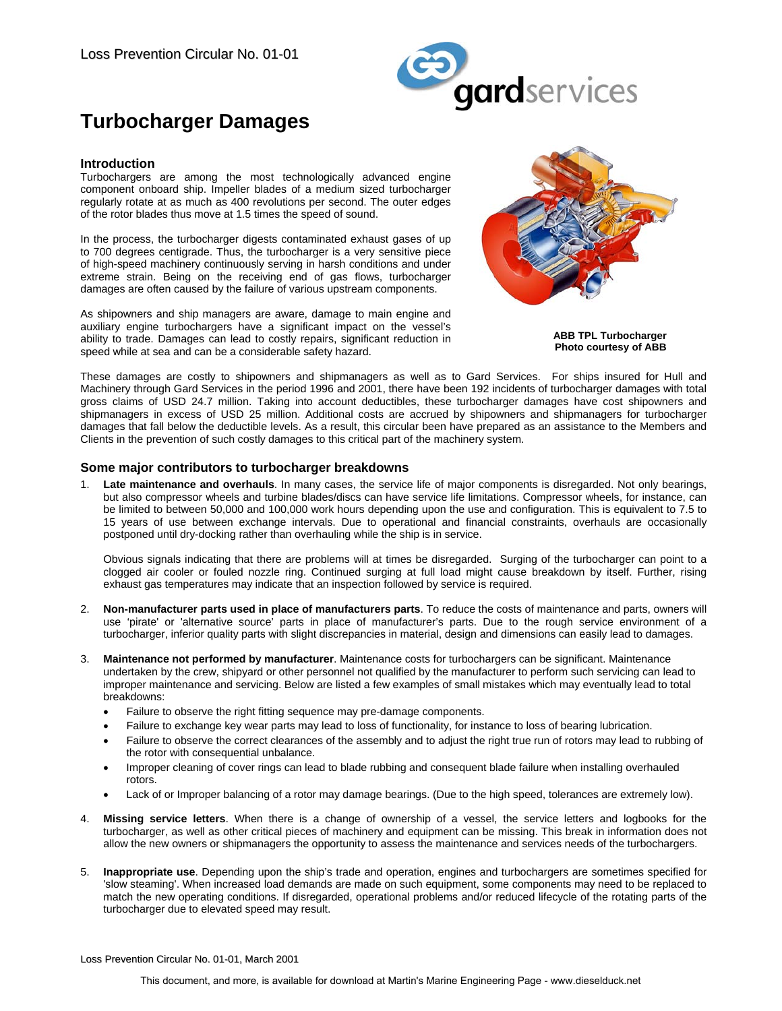

# **Turbocharger Damages**

#### **Introduction**

Turbochargers are among the most technologically advanced engine component onboard ship. Impeller blades of a medium sized turbocharger regularly rotate at as much as 400 revolutions per second. The outer edges of the rotor blades thus move at 1.5 times the speed of sound.

In the process, the turbocharger digests contaminated exhaust gases of up to 700 degrees centigrade. Thus, the turbocharger is a very sensitive piece of high-speed machinery continuously serving in harsh conditions and under extreme strain. Being on the receiving end of gas flows, turbocharger damages are often caused by the failure of various upstream components.

As shipowners and ship managers are aware, damage to main engine and auxiliary engine turbochargers have a significant impact on the vessel's ability to trade. Damages can lead to costly repairs, significant reduction in speed while at sea and can be a considerable safety hazard.



**ABB TPL Turbocharger Photo courtesy of ABB**

These damages are costly to shipowners and shipmanagers as well as to Gard Services. For ships insured for Hull and Machinery through Gard Services in the period 1996 and 2001, there have been 192 incidents of turbocharger damages with total gross claims of USD 24.7 million. Taking into account deductibles, these turbocharger damages have cost shipowners and shipmanagers in excess of USD 25 million. Additional costs are accrued by shipowners and shipmanagers for turbocharger damages that fall below the deductible levels. As a result, this circular been have prepared as an assistance to the Members and Clients in the prevention of such costly damages to this critical part of the machinery system.

#### **Some major contributors to turbocharger breakdowns**

Late maintenance and overhauls. In many cases, the service life of major components is disregarded. Not only bearings, but also compressor wheels and turbine blades/discs can have service life limitations. Compressor wheels, for instance, can be limited to between 50,000 and 100,000 work hours depending upon the use and configuration. This is equivalent to 7.5 to 15 years of use between exchange intervals. Due to operational and financial constraints, overhauls are occasionally postponed until dry-docking rather than overhauling while the ship is in service.

Obvious signals indicating that there are problems will at times be disregarded. Surging of the turbocharger can point to a clogged air cooler or fouled nozzle ring. Continued surging at full load might cause breakdown by itself. Further, rising exhaust gas temperatures may indicate that an inspection followed by service is required.

- 2. **Non-manufacturer parts used in place of manufacturers parts**. To reduce the costs of maintenance and parts, owners will use 'pirate' or 'alternative source' parts in place of manufacturer's parts. Due to the rough service environment of a turbocharger, inferior quality parts with slight discrepancies in material, design and dimensions can easily lead to damages.
- 3. **Maintenance not performed by manufacturer**. Maintenance costs for turbochargers can be significant. Maintenance undertaken by the crew, shipyard or other personnel not qualified by the manufacturer to perform such servicing can lead to improper maintenance and servicing. Below are listed a few examples of small mistakes which may eventually lead to total breakdowns:
	- Failure to observe the right fitting sequence may pre-damage components.
	- Failure to exchange key wear parts may lead to loss of functionality, for instance to loss of bearing lubrication.
	- Failure to observe the correct clearances of the assembly and to adjust the right true run of rotors may lead to rubbing of the rotor with consequential unbalance.
	- Improper cleaning of cover rings can lead to blade rubbing and consequent blade failure when installing overhauled rotors.
	- Lack of or Improper balancing of a rotor may damage bearings. (Due to the high speed, tolerances are extremely low).
- 4. **Missing service letters**. When there is a change of ownership of a vessel, the service letters and logbooks for the turbocharger, as well as other critical pieces of machinery and equipment can be missing. This break in information does not allow the new owners or shipmanagers the opportunity to assess the maintenance and services needs of the turbochargers.
- 5. **Inappropriate use**. Depending upon the ship's trade and operation, engines and turbochargers are sometimes specified for 'slow steaming'. When increased load demands are made on such equipment, some components may need to be replaced to match the new operating conditions. If disregarded, operational problems and/or reduced lifecycle of the rotating parts of the turbocharger due to elevated speed may result.